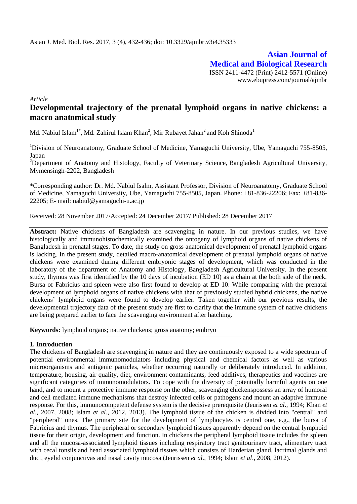**Asian Journal of Medical and Biological Research** ISSN 2411-4472 (Print) 2412-5571 (Online) www.ebupress.com/journal/ajmbr

*Article*

# **Developmental trajectory of the prenatal lymphoid organs in native chickens: a macro anatomical study**

Md. Nabiul Islam $^{1*}$ , Md. Zahirul Islam Khan $^2$ , Mir Rubayet Jahan $^2$  and Koh Shinoda $^1$ 

<sup>1</sup>Division of Neuroanatomy, Graduate School of Medicine, Yamaguchi University, Ube, Yamaguchi 755-8505, Japan

<sup>2</sup>Department of Anatomy and Histology, Faculty of Veterinary Science, Bangladesh Agricultural University, Mymensingh-2202, Bangladesh

\*Corresponding author: Dr. Md. Nabiul Isalm, Assistant Professor, Division of Neuroanatomy, Graduate School of Medicine, Yamaguchi University, Ube, Yamaguchi 755-8505, Japan. Phone: +81-836-22206; Fax: +81-836- 22205; E- mail: [nabiul@yamaguchi-u.ac.jp](mailto:nabiul@yamaguchi-u.ac.jp)

Received: 28 November 2017/Accepted: 24 December 2017/ Published: 28 December 2017

Abstract: Native chickens of Bangladesh are scavenging in nature. In our previous studies, we have histologically and immunohistochemically examined the ontogeny of lymphoid organs of native chickens of Bangladesh in prenatal stages. To date, the study on gross anatomical development of prenatal lymphoid organs is lacking. In the present study, detailed macro-anatomical development of prenatal lymphoid organs of native chickens were examined during different embryonic stages of development, which was conducted in the laboratory of the department of Anatomy and Histology, Bangladesh Agricultural University. In the present study, thymus was first identified by the 10 days of incubation (ED 10) as a chain at the both side of the neck. Bursa of Fabricius and spleen were also first found to develop at ED 10. While comparing with the prenatal development of lymphoid organs of native chickens with that of previously studied hybrid chickens, the native chickens' lymphoid organs were found to develop earlier. Taken together with our previous results, the developmental trajectory data of the present study are first to clarify that the immune system of native chickens are being prepared earlier to face the scavenging environment after hatching.

**Keywords:** lymphoid organs; native chickens; gross anatomy; embryo

#### **1. Introduction**

The chickens of Bangladesh are scavenging in nature and they are continuously exposed to a wide spectrum of potential environmental immunomodulators including physical and chemical factors as well as various microorganisms and antigenic particles, whether occurring naturally or deliberately introduced. In addition, temperature, housing, air quality, diet, environment contaminants, feed additives, therapeutics and vaccines are significant categories of immunomodulators. To cope with the diversity of potentially harmful agents on one hand, and to mount a protective immune response on the other, scavenging chickenspossess an array of humoral and cell mediated immune mechanisms that destroy infected cells or pathogens and mount an adaptive immune response. For this, immunocompetent defense system is the decisive prerequisite (Jeurissen *et al.,* 1994; Khan *et al*., 2007, 2008; Islam *et al*., 2012, 2013). The lymphoid tissue of the chicken is divided into "central" and "peripheral" ones. The primary site for the development of lymphocytes is central one, e.g., the bursa of Fabricius and thymus. The peripheral or secondary lymphoid tissues apparently depend on the central lymphoid tissue for their origin, development and function. In chickens the peripheral lymphoid tissue includes the spleen and all the mucosa-associated lymphoid tissues including respiratory tract genitourinary tract, alimentary tract with cecal tonsils and head associated lymphoid tissues which consists of Harderian gland, lacrimal glands and duct, eyelid conjunctivas and nasal cavity mucosa (Jeurissen *et al.,* 1994; Islam *et al*., 2008, 2012).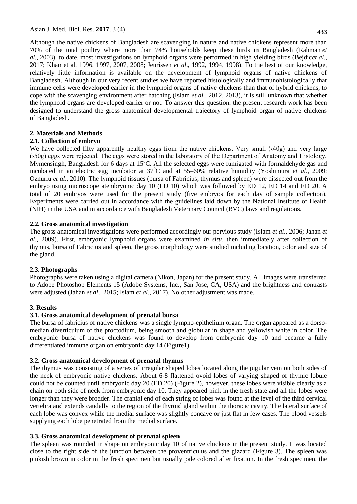Although the native chickens of Bangladesh are scavenging in nature and native chickens represent more than 70% of the total poultry where more than 74% households keep these birds in Bangladesh (Rahman *et al.,* 2003), to date, most investigations on lymphoid organs were performed in high yielding birds (Bejdic*et al*., 2017; Khan et al, 1996, 1997, 2007, 2008; Jeurissen *et al*., 1992, 1994, 1998). To the best of our knowledge, relatively little information is available on the development of lymphoid organs of native chickens of Bangladesh. Although in our very recent studies we have reported histologically and immunohistologically that immune cells were developed earlier in the lymphoid organs of native chickens than that of hybrid chickens, to cope with the scavenging environment after hatching (Islam *et al*., 2012, 2013), it is still unknown that whether the lymphoid organs are developed earlier or not. To answer this question, the present research work has been designed to understand the gross anatomical developmental trajectory of lymphoid organ of native chickens of Bangladesh.

## **2. Materials and Methods**

#### **2.1. Collection of embryo**

We have collected fifty apparently healthy eggs from the native chickens. Very small ( $(40g)$ ) and very large (›50g) eggs were rejected. The eggs were stored in the laboratory of the Department of Anatomy and Histology, Mymensingh, Bangladesh for 6 days at  $15^{\circ}$ C. All the selected eggs were fumigated with formaldehyde gas and incubated in an electric egg incubator at 37<sup>0</sup>C and at 55–60% relative humidity (Yoshimura *et al*., 2009; Oznurlu *et al*., 2010). The lymphoid tissues (bursa of Fabricius, thymus and spleen) were dissected out from the embryo using microscope atembryonic day 10 (ED 10) which was followed by ED 12, ED 14 and ED 20. A total of 20 embryos were used for the present study (five embryos for each day of sample collection). Experiments were carried out in accordance with the guidelines laid down by the National Institute of Health (NIH) in the USA and in accordance with Bangladesh Veterinary Council (BVC) laws and regulations.

## **2.2. Gross anatomical investigation**

The gross anatomical investigations were performed accordingly our pervious study (Islam *et al*., 2006; Jahan *et al*., 2009). First, embryonic lymphoid organs were examined *in situ*, then immediately after collection of thymus, bursa of Fabricius and spleen, the gross morphology were studied including location, color and size of the gland.

#### **2.3. Photographs**

Photographs were taken using a digital camera (Nikon, Japan) for the present study. All images were transferred to Adobe Photoshop Elements 15 (Adobe Systems, Inc., San Jose, CA, USA) and the brightness and contrasts were adjusted (Jahan *et al*., 2015; Islam *et al*., 2017). No other adjustment was made.

#### **3. Results**

#### **3.1. Gross anatomical development of prenatal bursa**

The bursa of fabricius of native chickens was a single lympho-epithelium organ. The organ appeared as a dorsomedian diverticulum of the proctodium, being smooth and globular in shape and yellowish white in color. The embryonic bursa of native chickens was found to develop from embryonic day 10 and became a fully differentiated immune organ on embryonic day 14 (Figure1).

#### **3.2. Gross anatomical development of prenatal thymus**

The thymus was consisting of a series of irregular shaped lobes located along the jugular vein on both sides of the neck of embryonic native chickens. About 6-8 flattened ovoid lobes of varying shaped of thymic lobule could not be counted until embryonic day 20 (ED 20) (Figure 2), however, these lobes were visible clearly as a chain on both side of neck from embryonic day 10. They appeared pink in the fresh state and all the lobes were longer than they were broader. The cranial end of each string of lobes was found at the level of the third cervical vertebra and extends caudally to the region of the thyroid gland within the thoracic cavity. The lateral surface of each lobe was convex while the medial surface was slightly concave or just flat in few cases. The blood vessels supplying each lobe penetrated from the medial surface.

# **3.3. Gross anatomical development of prenatal spleen**

The spleen was rounded in shape on embryonic day 10 of native chickens in the present study. It was located close to the right side of the junction between the proventriculus and the gizzard (Figure 3). The spleen was pinkish brown in color in the fresh specimen but usually pale colored after fixation. In the fresh specimen, the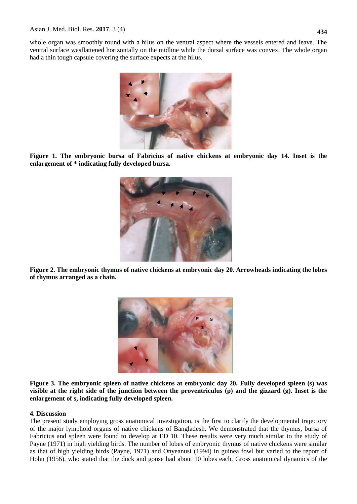whole organ was smoothly round with a hilus on the ventral aspect where the vessels entered and leave. The ventral surface wasflattened horizontally on the midline while the dorsal surface was convex. The whole organ had a thin tough capsule covering the surface expects at the hilus.



**Figure 1. The embryonic bursa of Fabricius of native chickens at embryonic day 14. Inset is the enlargement of \* indicating fully developed bursa.**



**Figure 2. The embryonic thymus of native chickens at embryonic day 20. Arrowheads indicating the lobes of thymus arranged as a chain.**



**Figure 3. The embryonic spleen of native chickens at embryonic day 20. Fully developed spleen (s) was visible at the right side of the junction between the proventriculus (p) and the gizzard (g). Inset is the enlargement of s, indicating fully developed spleen.**

#### **4. Discussion**

The present study employing gross anatomical investigation, is the first to clarify the developmental trajectory of the major lymphoid organs of native chickens of Bangladesh. We demonstrated that the thymus, bursa of Fabricius and spleen were found to develop at ED 10. These results were very much similar to the study of Payne (1971) in high yielding birds. The number of lobes of embryonic thymus of native chickens were similar as that of high yielding birds (Payne, 1971) and Onyeanusi (1994) in guinea fowl but varied to the report of Hohn (1956), who stated that the duck and goose had about 10 lobes each. Gross anatomical dynamics of the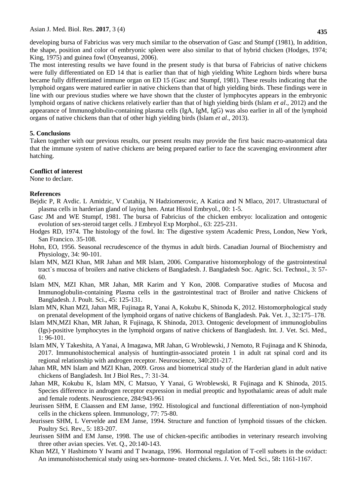developing bursa of Fabricius was very much similar to the observation of Gasc and Stumpf (1981), In addition, the shape, position and color of embryonic spleen were also similar to that of hybrid chicken (Hodges, 1974; King, 1975) and guinea fowl (Onyeanusi, 2006).

The most interesting results we have found in the present study is that bursa of Fabricius of native chickens were fully differentiated on ED 14 that is earlier than that of high yielding White Leghorn birds where bursa became fully differentiated immune organ on ED 15 (Gasc and Stumpf, 1981). These results indicating that the lymphoid organs were matured earlier in native chickens than that of high yielding birds. These findings were in line with our previous studies where we have shown that the cluster of lymphocytes appears in the embryonic lymphoid organs of native chickens relatively earlier than that of high yielding birds (Islam *et al*., 2012) and the appearance of Immunoglobulin-containing plasma cells (IgA, IgM, IgG) was also earlier in all of the lymphoid organs of native chickens than that of other high yielding birds (Islam *et al*., 2013).

# **5. Conclusions**

Taken together with our previous results, our present results may provide the first basic macro-anatomical data that the immune system of native chickens are being prepared earlier to face the scavenging environment after hatching.

## **Conflict of interest**

None to declare.

# **References**

- Bejdic P, R Avdic. L Amidzic, V Cutahija, N Hadziomerovic, A Katica and N Mlaco, 2017. Ultrastuctural of plasma cells in harderian gland of laying hen. Antat Histol Embryol., 00: 1-5.
- Gasc JM and WE Stumpf, 1981. The bursa of Fabricius of the chicken embryo: localization and ontogenic evolution of sex-steroid target cells. J Embryol Exp Morphol., 63: 225-231.
- Hodges RD, 1974. The histology of the fowl. In: The digestive system Academic Press, London, New York, San Francico. 35-108.
- Hohn, EO, 1956. Seasonal recrudescence of the thymus in adult birds. Canadian Journal of Biochemistry and Physiology, 34: 90-101.
- Islam MN, MZI Khan, MR Jahan and MR Islam, 2006. Comparative histomorphology of the gastrointestinal tract`s mucosa of broilers and native chickens of Bangladesh. J. Bangladesh Soc. Agric. Sci. Technol., 3: 57- 60.
- Islam MN, MZI Khan, MR Jahan, MR Karim and Y Kon, 2008. Comparative studies of Mucosa and Immunoglobulin-containing Plasma cells in the gastrointestinal tract of Broiler and native Chickens of Bangladesh. J. Poult. Sci., 45: 125-131.
- Islam MN, Khan MZI, Jahan MR, Fujinaga R, Yanai A, Kokubu K, Shinoda K, 2012. Histomorphological study on prenatal development of the lymphoid organs of native chickens of Bangladesh. Pak. Vet. J., 32:175–178.
- Islam MN,MZI Khan, MR Jahan, R Fujinaga, K Shinoda, 2013. Ontogenic development of immunoglobulins (Igs)-positive lymphocytes in the lymphoid organs of native chickens of Bangladesh. Int. J. Vet. Sci. Med., 1: 96-101.
- Islam MN, Y Takeshita, A Yanai, A Imagawa, MR Jahan, G Wroblewski, J Nemoto, R Fujinaga and K Shinoda, 2017. Immunohistochemical analysis of huntingtin-associated protein 1 in adult rat spinal cord and its regional relationship with androgen receptor. Neuroscience, 340:201-217.
- Jahan MR, MN Islam and MZI Khan, 2009. Gross and biometrical study of the Harderian gland in adult native chickens of Bangladesh. Int J Biol Res., 7: 31-34.
- Jahan MR, Kokubu K, Islam MN, C Matsuo, Y Yanai, G Wroblewski, R Fujinaga and K Shinoda, 2015. Species difference in androgen receptor expression in medial preoptic and hypothalamic areas of adult male and female rodents. Neuroscience, 284:943-961
- Jeurissen SHM, E Claassen and EM Janse, 1992. Histological and functional differentiation of non-lymphoid cells in the chickens spleen. Immunology, 77: 75-80.
- Jeurissen SHM, L Vervelde and EM Janse, 1994. Structure and function of lymphoid tissues of the chicken. Poultry Sci. Rev., 5: 183-207.
- Jeurissen SHM and EM Janse, 1998. The use of chicken-specific antibodies in veterinary research involving three other avian species. Vet. Q., 20:140-143.
- Khan MZI, Y Hashimoto Y Iwami and T Iwanaga, 1996. Hormonal regulation of T-cell subsets in the oviduct: An immunohistochemical study using sex-hormone- treated chickens. J. Vet. Med. Sci., 58**:** 1161-1167.